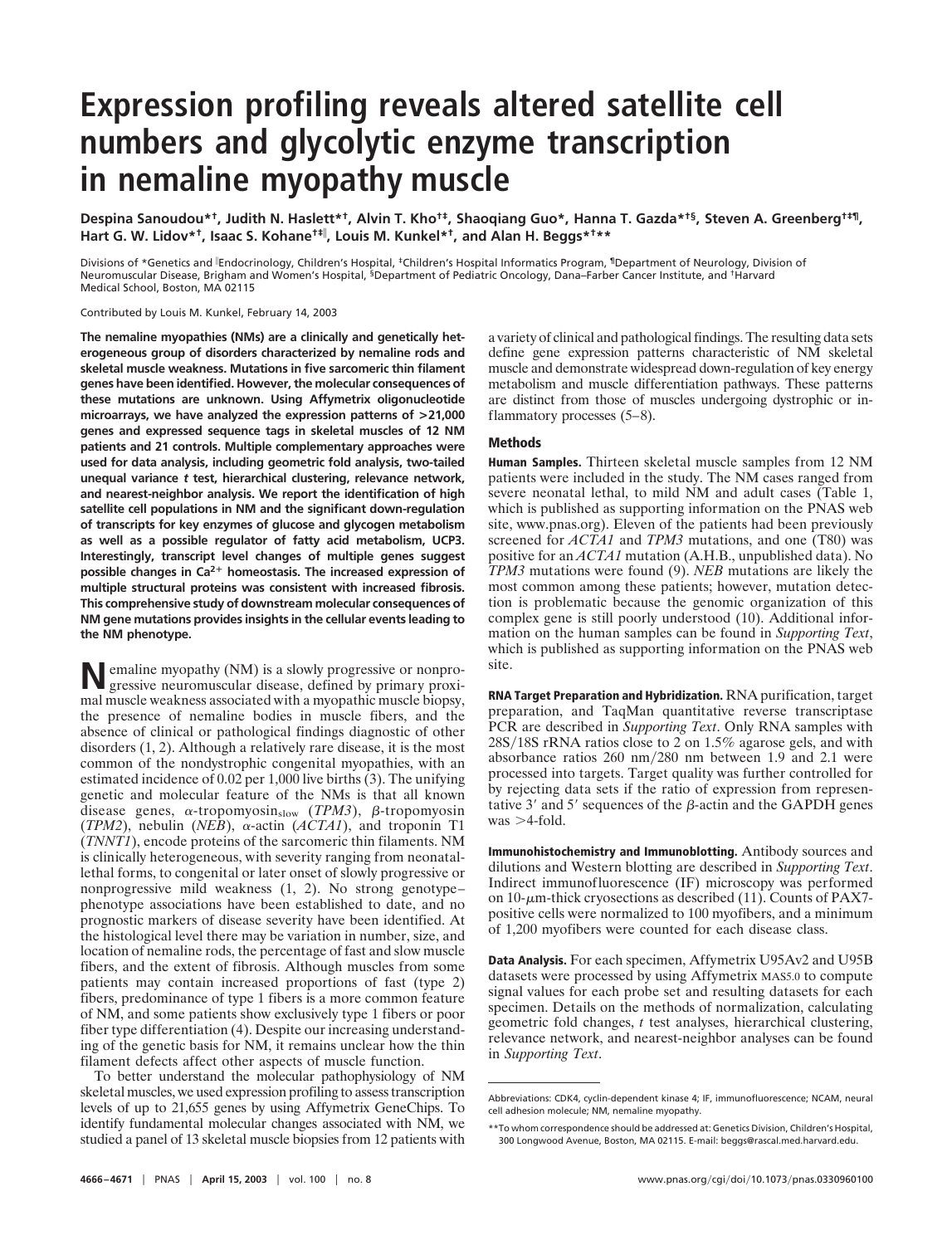# **Expression profiling reveals altered satellite cell numbers and glycolytic enzyme transcription in nemaline myopathy muscle**

**Despina Sanoudou\*†, Judith N. Haslett\*†, Alvin T. Kho†‡, Shaoqiang Guo\*, Hanna T. Gazda\*†§, Steven A. Greenberg†‡¶, Hart G. W. Lidov\*†, Isaac S. Kohane†‡ , Louis M. Kunkel\*†, and Alan H. Beggs\*†\*\***

Divisions of \*Genetics and <sup>|</sup>Endocrinology, Children's Hospital, <sup>‡</sup>Children's Hospital Informatics Program, <sup>¶</sup>Department of Neurology, Division of Neuromuscular Disease, Brigham and Women's Hospital, §Department of Pediatric Oncology, Dana–Farber Cancer Institute, and †Harvard Medical School, Boston, MA 02115

Contributed by Louis M. Kunkel, February 14, 2003

**The nemaline myopathies (NMs) are a clinically and genetically heterogeneous group of disorders characterized by nemaline rods and skeletal muscle weakness. Mutations in five sarcomeric thin filament genes have been identified. However, the molecular consequences of these mutations are unknown. Using Affymetrix oligonucleotide microarrays, we have analyzed the expression patterns of >21,000 genes and expressed sequence tags in skeletal muscles of 12 NM patients and 21 controls. Multiple complementary approaches were used for data analysis, including geometric fold analysis, two-tailed unequal variance** *t* **test, hierarchical clustering, relevance network, and nearest-neighbor analysis. We report the identification of high satellite cell populations in NM and the significant down-regulation of transcripts for key enzymes of glucose and glycogen metabolism as well as a possible regulator of fatty acid metabolism, UCP3. Interestingly, transcript level changes of multiple genes suggest** possible changes in Ca<sup>2+</sup> homeostasis. The increased expression of **multiple structural proteins was consistent with increased fibrosis. This comprehensive study of downstream molecular consequences of NM gene mutations provides insights in the cellular events leading to the NM phenotype.**

**N**emaline myopathy (NM) is a slowly progressive or nonprogressive neuromuscular disease, defined by primary proximal muscle weakness associated with a myopathic muscle biopsy, the presence of nemaline bodies in muscle fibers, and the absence of clinical or pathological findings diagnostic of other disorders (1, 2). Although a relatively rare disease, it is the most common of the nondystrophic congenital myopathies, with an estimated incidence of 0.02 per 1,000 live births (3). The unifying genetic and molecular feature of the NMs is that all known disease genes,  $\alpha$ -tropomyosin<sub>slow</sub> (*TPM3*),  $\beta$ -tropomyosin ( $TPM2$ ), nebulin ( $NEB$ ),  $\alpha$ -actin ( $ACTA1$ ), and troponin T1 (*TNNT1*), encode proteins of the sarcomeric thin filaments. NM is clinically heterogeneous, with severity ranging from neonatallethal forms, to congenital or later onset of slowly progressive or nonprogressive mild weakness (1, 2). No strong genotype– phenotype associations have been established to date, and no prognostic markers of disease severity have been identified. At the histological level there may be variation in number, size, and location of nemaline rods, the percentage of fast and slow muscle fibers, and the extent of fibrosis. Although muscles from some patients may contain increased proportions of fast (type 2) fibers, predominance of type 1 fibers is a more common feature of NM, and some patients show exclusively type 1 fibers or poor fiber type differentiation (4). Despite our increasing understanding of the genetic basis for NM, it remains unclear how the thin filament defects affect other aspects of muscle function.

To better understand the molecular pathophysiology of NM skeletal muscles, we used expression profiling to assess transcription levels of up to 21,655 genes by using Affymetrix GeneChips. To identify fundamental molecular changes associated with NM, we studied a panel of 13 skeletal muscle biopsies from 12 patients with a variety of clinical and pathological findings. The resulting data sets define gene expression patterns characteristic of NM skeletal muscle and demonstrate widespread down-regulation of key energy metabolism and muscle differentiation pathways. These patterns are distinct from those of muscles undergoing dystrophic or inflammatory processes (5–8).

## **Methods**

**Human Samples.** Thirteen skeletal muscle samples from 12 NM patients were included in the study. The NM cases ranged from severe neonatal lethal, to mild NM and adult cases (Table 1, which is published as supporting information on the PNAS web site, www.pnas.org). Eleven of the patients had been previously screened for *ACTA1* and *TPM3* mutations, and one (T80) was positive for an *ACTA1* mutation (A.H.B., unpublished data). No *TPM3* mutations were found (9). *NEB* mutations are likely the most common among these patients; however, mutation detection is problematic because the genomic organization of this complex gene is still poorly understood (10). Additional information on the human samples can be found in *Supporting Text*, which is published as supporting information on the PNAS web site.

**RNA Target Preparation and Hybridization.** RNA purification, target preparation, and TaqMan quantitative reverse transcriptase PCR are described in *Supporting Text*. Only RNA samples with 28S/18S rRNA ratios close to 2 on 1.5% agarose gels, and with absorbance ratios 260 nm-280 nm between 1.9 and 2.1 were processed into targets. Target quality was further controlled for by rejecting data sets if the ratio of expression from representative 3' and 5' sequences of the  $\beta$ -actin and the GAPDH genes  $was > 4$ -fold.

**Immunohistochemistry and Immunoblotting.** Antibody sources and dilutions and Western blotting are described in *Supporting Text*. Indirect immunofluorescence (IF) microscopy was performed on 10- $\mu$ m-thick cryosections as described (11). Counts of PAX7positive cells were normalized to 100 myofibers, and a minimum of 1,200 myofibers were counted for each disease class.

**Data Analysis.** For each specimen, Affymetrix U95Av2 and U95B datasets were processed by using Affymetrix MAS5.0 to compute signal values for each probe set and resulting datasets for each specimen. Details on the methods of normalization, calculating geometric fold changes, *t* test analyses, hierarchical clustering, relevance network, and nearest-neighbor analyses can be found in *Supporting Text*.

Abbreviations: CDK4, cyclin-dependent kinase 4; IF, immunofluorescence; NCAM, neural cell adhesion molecule; NM, nemaline myopathy.

<sup>\*\*</sup>To whom correspondence should be addressed at: Genetics Division, Children's Hospital, 300 Longwood Avenue, Boston, MA 02115. E-mail: beggs@rascal.med.harvard.edu.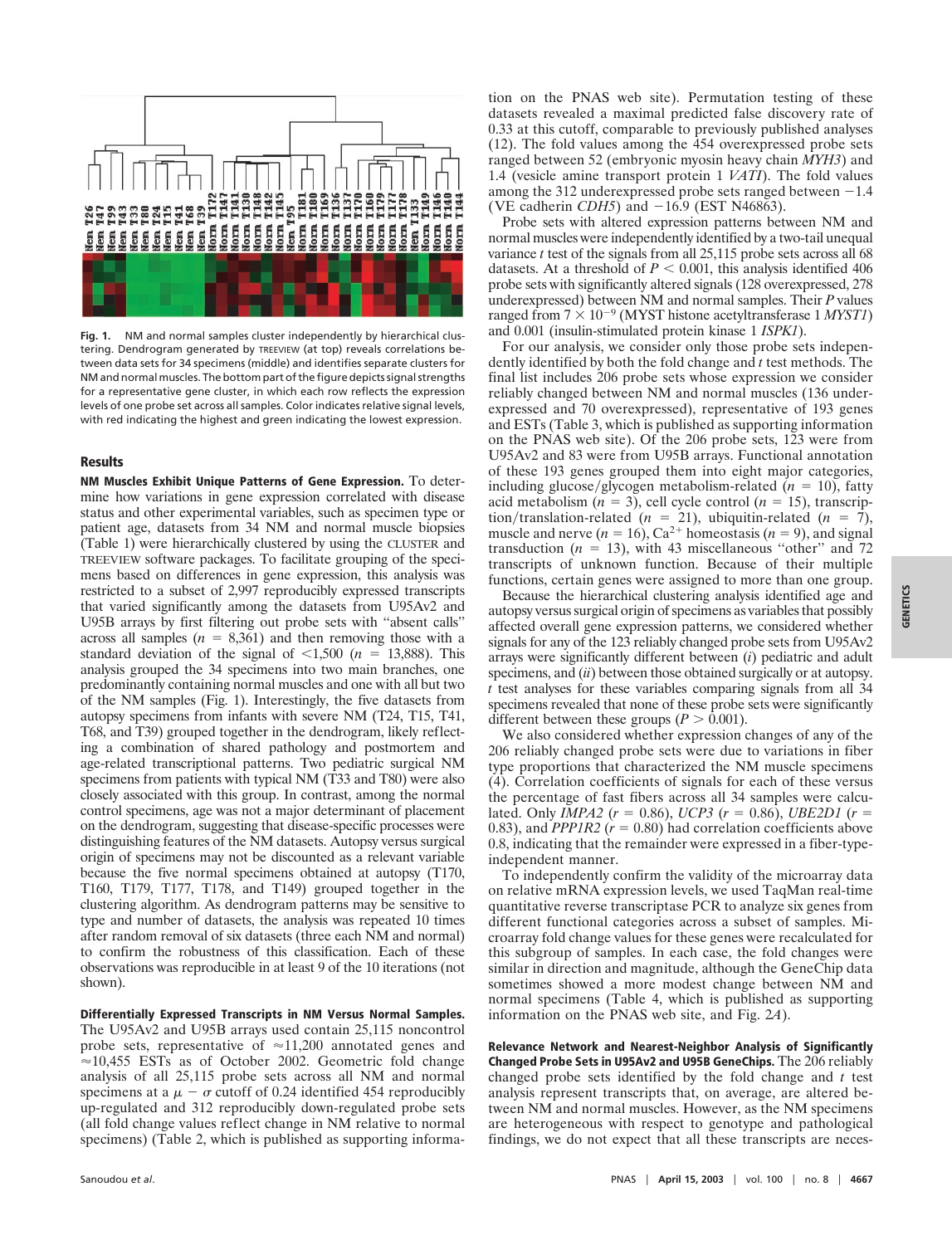

**Fig. 1.** NM and normal samples cluster independently by hierarchical clustering. Dendrogram generated by TREEVIEW (at top) reveals correlations between data sets for 34 specimens (middle) and identifies separate clusters for NM and normal muscles. The bottom part of the figure depicts signal strengths for a representative gene cluster, in which each row reflects the expression levels of one probe set across all samples. Color indicates relative signal levels, with red indicating the highest and green indicating the lowest expression.

#### **Results**

**NM Muscles Exhibit Unique Patterns of Gene Expression.** To determine how variations in gene expression correlated with disease status and other experimental variables, such as specimen type or patient age, datasets from 34 NM and normal muscle biopsies (Table 1) were hierarchically clustered by using the CLUSTER and TREEVIEW software packages. To facilitate grouping of the specimens based on differences in gene expression, this analysis was restricted to a subset of 2,997 reproducibly expressed transcripts that varied significantly among the datasets from U95Av2 and U95B arrays by first filtering out probe sets with ''absent calls'' across all samples  $(n = 8,361)$  and then removing those with a standard deviation of the signal of  $\leq 1,500$  (*n* = 13,888). This analysis grouped the 34 specimens into two main branches, one predominantly containing normal muscles and one with all but two of the NM samples (Fig. 1). Interestingly, the five datasets from autopsy specimens from infants with severe NM (T24, T15, T41, T68, and T39) grouped together in the dendrogram, likely reflecting a combination of shared pathology and postmortem and age-related transcriptional patterns. Two pediatric surgical NM specimens from patients with typical NM (T33 and T80) were also closely associated with this group. In contrast, among the normal control specimens, age was not a major determinant of placement on the dendrogram, suggesting that disease-specific processes were distinguishing features of the NM datasets. Autopsy versus surgical origin of specimens may not be discounted as a relevant variable because the five normal specimens obtained at autopsy (T170, T160, T179, T177, T178, and T149) grouped together in the clustering algorithm. As dendrogram patterns may be sensitive to type and number of datasets, the analysis was repeated 10 times after random removal of six datasets (three each NM and normal) to confirm the robustness of this classification. Each of these observations was reproducible in at least 9 of the 10 iterations (not shown).

**Differentially Expressed Transcripts in NM Versus Normal Samples.** The U95Av2 and U95B arrays used contain 25,115 noncontrol probe sets, representative of  $\approx$  11,200 annotated genes and  $\approx$ 10,455 ESTs as of October 2002. Geometric fold change analysis of all 25,115 probe sets across all NM and normal specimens at a  $\mu - \sigma$  cutoff of 0.24 identified 454 reproducibly up-regulated and 312 reproducibly down-regulated probe sets (all fold change values reflect change in NM relative to normal specimens) (Table 2, which is published as supporting information on the PNAS web site). Permutation testing of these datasets revealed a maximal predicted false discovery rate of 0.33 at this cutoff, comparable to previously published analyses (12). The fold values among the 454 overexpressed probe sets ranged between 52 (embryonic myosin heavy chain *MYH3*) and 1.4 (vesicle amine transport protein 1 *VATI*). The fold values among the 312 underexpressed probe sets ranged between  $-1.4$ (VE cadherin *CDH5*) and  $-16.9$  (EST N46863).

Probe sets with altered expression patterns between NM and normal muscles were independently identified by a two-tail unequal variance *t* test of the signals from all 25,115 probe sets across all 68 datasets. At a threshold of  $P < 0.001$ , this analysis identified 406 probe sets with significantly altered signals (128 overexpressed, 278 underexpressed) between NM and normal samples. Their *P* values ranged from  $7 \times 10^{-9}$  (MYST histone acetyltransferase 1 *MYST1*) and 0.001 (insulin-stimulated protein kinase 1 *ISPK1*).

For our analysis, we consider only those probe sets independently identified by both the fold change and *t* test methods. The final list includes 206 probe sets whose expression we consider reliably changed between NM and normal muscles (136 underexpressed and 70 overexpressed), representative of 193 genes and ESTs (Table 3, which is published as supporting information on the PNAS web site). Of the 206 probe sets, 123 were from U95Av2 and 83 were from U95B arrays. Functional annotation of these 193 genes grouped them into eight major categories, including glucose/glycogen metabolism-related  $(n = 10)$ , fatty acid metabolism  $(n = 3)$ , cell cycle control  $(n = 15)$ , transcrip- $\frac{\text{tion}}{\text{translation-related}}$  ( $n = 21$ ), ubiquitin-related ( $n = 7$ ), muscle and nerve  $(n = 16)$ ,  $Ca^{2+}$  homeostasis  $(n = 9)$ , and signal transduction  $(n = 13)$ , with 43 miscellaneous "other" and 72 transcripts of unknown function. Because of their multiple functions, certain genes were assigned to more than one group.

Because the hierarchical clustering analysis identified age and autopsy versus surgical origin of specimens as variables that possibly affected overall gene expression patterns, we considered whether signals for any of the 123 reliably changed probe sets from U95Av2 arrays were significantly different between (*i*) pediatric and adult specimens, and (*ii*) between those obtained surgically or at autopsy. *t* test analyses for these variables comparing signals from all 34 specimens revealed that none of these probe sets were significantly different between these groups  $(P > 0.001)$ .

We also considered whether expression changes of any of the 206 reliably changed probe sets were due to variations in fiber type proportions that characterized the NM muscle specimens (4). Correlation coefficients of signals for each of these versus the percentage of fast fibers across all 34 samples were calculated. Only *IMPA2* ( $r = 0.86$ ), *UCP3* ( $r = 0.86$ ), *UBE2D1* ( $r =$ 0.83), and *PPP1R2* ( $r = 0.80$ ) had correlation coefficients above 0.8, indicating that the remainder were expressed in a fiber-typeindependent manner.

To independently confirm the validity of the microarray data on relative mRNA expression levels, we used TaqMan real-time quantitative reverse transcriptase PCR to analyze six genes from different functional categories across a subset of samples. Microarray fold change values for these genes were recalculated for this subgroup of samples. In each case, the fold changes were similar in direction and magnitude, although the GeneChip data sometimes showed a more modest change between NM and normal specimens (Table 4, which is published as supporting information on the PNAS web site, and Fig. 2*A*).

**Relevance Network and Nearest-Neighbor Analysis of Significantly Changed Probe Sets in U95Av2 and U95B GeneChips.** The 206 reliably changed probe sets identified by the fold change and *t* test analysis represent transcripts that, on average, are altered between NM and normal muscles. However, as the NM specimens are heterogeneous with respect to genotype and pathological findings, we do not expect that all these transcripts are neces-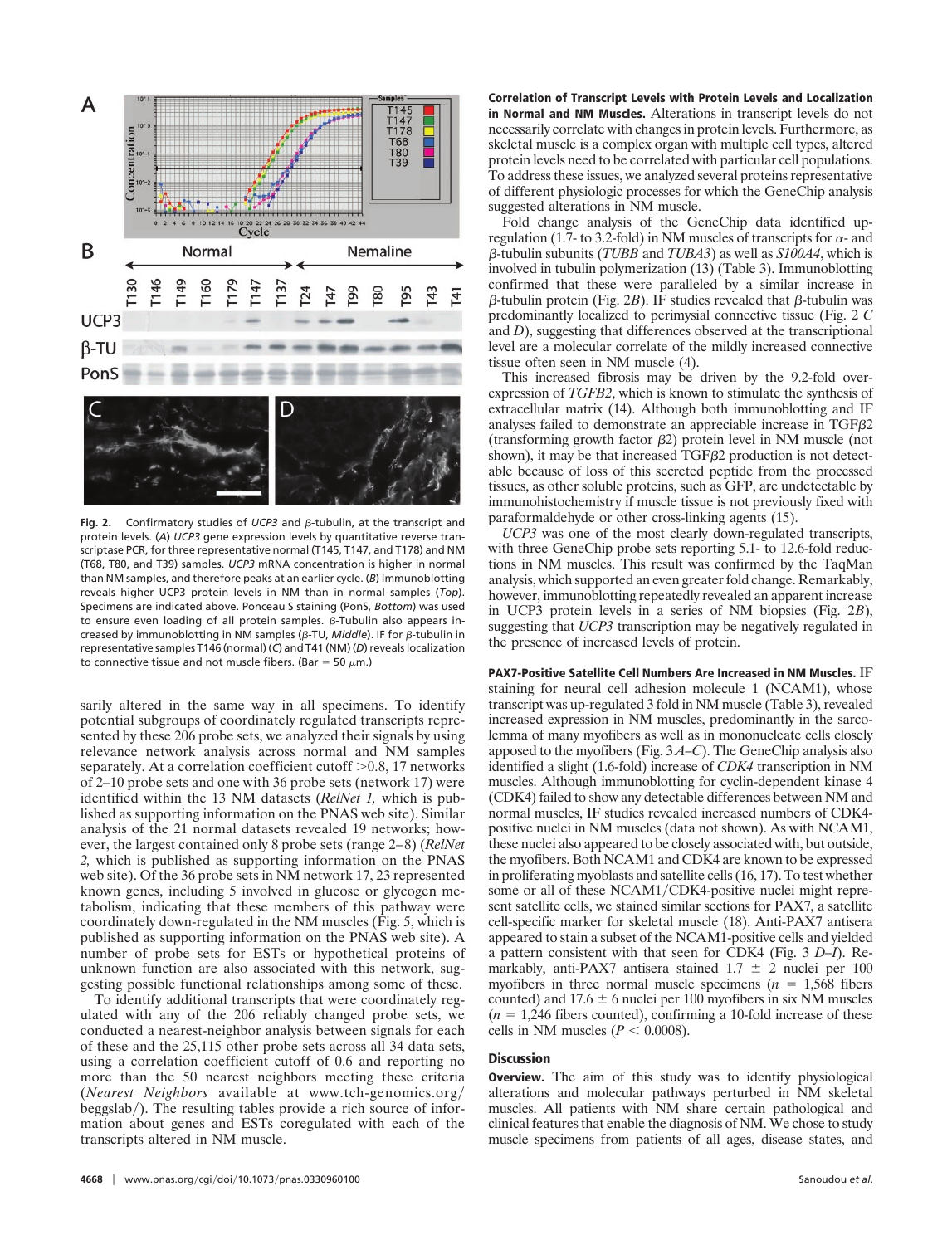

Fig. 2. Confirmatory studies of UCP3 and  $\beta$ -tubulin, at the transcript and protein levels. (*A*) *UCP3* gene expression levels by quantitative reverse transcriptase PCR, for three representative normal (T145, T147, and T178) and NM (T68, T80, and T39) samples. *UCP3* mRNA concentration is higher in normal than NM samples, and therefore peaks at an earlier cycle. (*B*) Immunoblotting reveals higher UCP3 protein levels in NM than in normal samples (*Top*). Specimens are indicated above. Ponceau S staining (PonS, *Bottom*) was used to ensure even loading of all protein samples.  $\beta$ -Tubulin also appears increased by immunoblotting in NM samples (β-TU, *Middle*). IF for β-tubulin in representative samples T146 (normal) (*C*) and T41 (NM) (*D*) reveals localization to connective tissue and not muscle fibers. (Bar = 50  $\mu$ m.)

sarily altered in the same way in all specimens. To identify potential subgroups of coordinately regulated transcripts represented by these 206 probe sets, we analyzed their signals by using relevance network analysis across normal and NM samples separately. At a correlation coefficient cutoff > 0.8, 17 networks of 2–10 probe sets and one with 36 probe sets (network 17) were identified within the 13 NM datasets (*RelNet 1,* which is published as supporting information on the PNAS web site). Similar analysis of the 21 normal datasets revealed 19 networks; however, the largest contained only 8 probe sets (range 2–8) (*RelNet 2,* which is published as supporting information on the PNAS web site). Of the 36 probe sets in NM network 17, 23 represented known genes, including 5 involved in glucose or glycogen metabolism, indicating that these members of this pathway were coordinately down-regulated in the NM muscles (Fig. 5, which is published as supporting information on the PNAS web site). A number of probe sets for ESTs or hypothetical proteins of unknown function are also associated with this network, suggesting possible functional relationships among some of these.

To identify additional transcripts that were coordinately regulated with any of the 206 reliably changed probe sets, we conducted a nearest-neighbor analysis between signals for each of these and the 25,115 other probe sets across all 34 data sets, using a correlation coefficient cutoff of 0.6 and reporting no more than the 50 nearest neighbors meeting these criteria (*Nearest Neighbors* available at www.tch-genomics.org/ beggslab/). The resulting tables provide a rich source of information about genes and ESTs coregulated with each of the transcripts altered in NM muscle.

**Correlation of Transcript Levels with Protein Levels and Localization in Normal and NM Muscles.** Alterations in transcript levels do not necessarily correlate with changes in protein levels. Furthermore, as skeletal muscle is a complex organ with multiple cell types, altered protein levels need to be correlated with particular cell populations. To address these issues, we analyzed several proteins representative of different physiologic processes for which the GeneChip analysis suggested alterations in NM muscle.

Fold change analysis of the GeneChip data identified upregulation (1.7- to 3.2-fold) in NM muscles of transcripts for  $\alpha$ - and --tubulin subunits (*TUBB* and *TUBA3*) as well as *S100A4*, which is involved in tubulin polymerization (13) (Table 3). Immunoblotting confirmed that these were paralleled by a similar increase in  $\beta$ -tubulin protein (Fig. 2*B*). IF studies revealed that  $\beta$ -tubulin was predominantly localized to perimysial connective tissue (Fig. 2 *C* and *D*), suggesting that differences observed at the transcriptional level are a molecular correlate of the mildly increased connective tissue often seen in NM muscle (4).

This increased fibrosis may be driven by the 9.2-fold overexpression of *TGFB2*, which is known to stimulate the synthesis of extracellular matrix (14). Although both immunoblotting and IF analyses failed to demonstrate an appreciable increase in  $TGF \beta2$ (transforming growth factor  $\beta$ 2) protein level in NM muscle (not shown), it may be that increased  $TGF\beta2$  production is not detectable because of loss of this secreted peptide from the processed tissues, as other soluble proteins, such as GFP, are undetectable by immunohistochemistry if muscle tissue is not previously fixed with paraformaldehyde or other cross-linking agents (15).

*UCP3* was one of the most clearly down-regulated transcripts, with three GeneChip probe sets reporting 5.1- to 12.6-fold reductions in NM muscles. This result was confirmed by the TaqMan analysis, which supported an even greater fold change. Remarkably, however, immunoblotting repeatedly revealed an apparent increase in UCP3 protein levels in a series of NM biopsies (Fig. 2*B*), suggesting that *UCP3* transcription may be negatively regulated in the presence of increased levels of protein.

**PAX7-Positive Satellite Cell Numbers Are Increased in NM Muscles.** IF staining for neural cell adhesion molecule 1 (NCAM1), whose transcript was up-regulated 3 fold in NM muscle (Table 3), revealed increased expression in NM muscles, predominantly in the sarcolemma of many myofibers as well as in mononucleate cells closely apposed to the myofibers (Fig. 3 *A–C*). The GeneChip analysis also identified a slight (1.6-fold) increase of *CDK4* transcription in NM muscles. Although immunoblotting for cyclin-dependent kinase 4 (CDK4) failed to show any detectable differences between NM and normal muscles, IF studies revealed increased numbers of CDK4 positive nuclei in NM muscles (data not shown). As with NCAM1, these nuclei also appeared to be closely associated with, but outside, the myofibers. Both NCAM1 and CDK4 are known to be expressed in proliferating myoblasts and satellite cells (16, 17). To test whether some or all of these NCAM1/CDK4-positive nuclei might represent satellite cells, we stained similar sections for PAX7, a satellite cell-specific marker for skeletal muscle (18). Anti-PAX7 antisera appeared to stain a subset of the NCAM1-positive cells and yielded a pattern consistent with that seen for CDK4 (Fig. 3 *D–I*). Remarkably, anti-PAX7 antisera stained  $1.7 \pm 2$  nuclei per 100 myofibers in three normal muscle specimens  $(n = 1,568)$  fibers counted) and  $17.6 \pm 6$  nuclei per 100 myofibers in six NM muscles  $(n = 1,246$  fibers counted), confirming a 10-fold increase of these cells in NM muscles  $(P < 0.0008)$ .

## **Discussion**

**Overview.** The aim of this study was to identify physiological alterations and molecular pathways perturbed in NM skeletal muscles. All patients with NM share certain pathological and clinical features that enable the diagnosis of NM. We chose to study muscle specimens from patients of all ages, disease states, and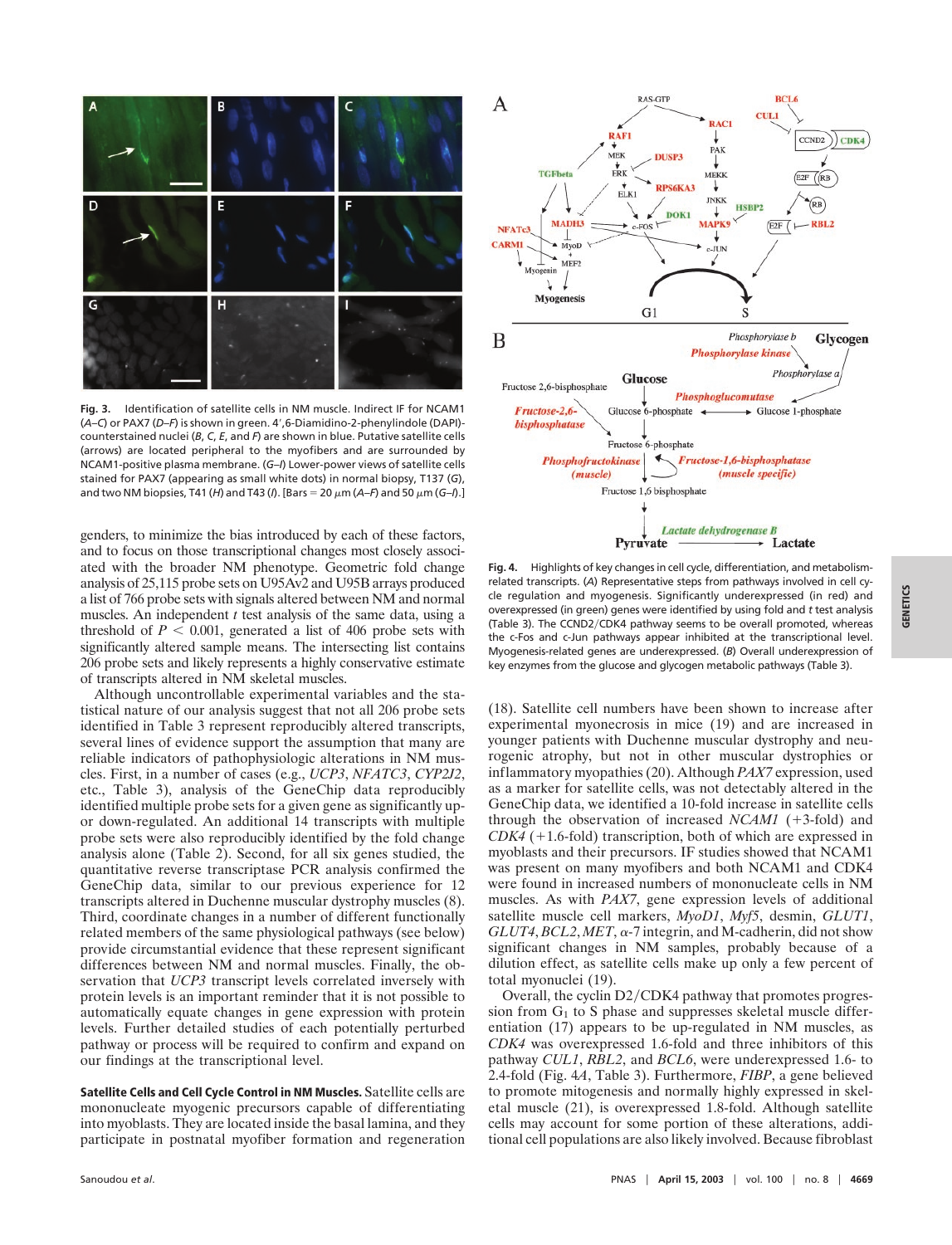

**Fig. 3.** Identification of satellite cells in NM muscle. Indirect IF for NCAM1 (*A–C*) or PAX7 (*D–F*) is shown in green. 4', 6-Diamidino-2-phenylindole (DAPI)counterstained nuclei (*B*, *C*, *E*, and *F*) are shown in blue. Putative satellite cells (arrows) are located peripheral to the myofibers and are surrounded by NCAM1-positive plasma membrane. (*G–I*) Lower-power views of satellite cells stained for PAX7 (appearing as small white dots) in normal biopsy, T137 (*G*), and two NM biopsies, T41 (*H*) and T43 (*I*). [Bars = 20  $\mu$ m (*A–F*) and 50  $\mu$ m (*G–I*).]

genders, to minimize the bias introduced by each of these factors, and to focus on those transcriptional changes most closely associated with the broader NM phenotype. Geometric fold change analysis of 25,115 probe sets on U95Av2 and U95B arrays produced a list of 766 probe sets with signals altered between NM and normal muscles. An independent *t* test analysis of the same data, using a threshold of  $P < 0.001$ , generated a list of 406 probe sets with significantly altered sample means. The intersecting list contains 206 probe sets and likely represents a highly conservative estimate of transcripts altered in NM skeletal muscles.

Although uncontrollable experimental variables and the statistical nature of our analysis suggest that not all 206 probe sets identified in Table 3 represent reproducibly altered transcripts, several lines of evidence support the assumption that many are reliable indicators of pathophysiologic alterations in NM muscles. First, in a number of cases (e.g., *UCP3*, *NFATC3*, *CYP2J2*, etc., Table 3), analysis of the GeneChip data reproducibly identified multiple probe sets for a given gene as significantly upor down-regulated. An additional 14 transcripts with multiple probe sets were also reproducibly identified by the fold change analysis alone (Table 2). Second, for all six genes studied, the quantitative reverse transcriptase PCR analysis confirmed the GeneChip data, similar to our previous experience for 12 transcripts altered in Duchenne muscular dystrophy muscles (8). Third, coordinate changes in a number of different functionally related members of the same physiological pathways (see below) provide circumstantial evidence that these represent significant differences between NM and normal muscles. Finally, the observation that *UCP3* transcript levels correlated inversely with protein levels is an important reminder that it is not possible to automatically equate changes in gene expression with protein levels. Further detailed studies of each potentially perturbed pathway or process will be required to confirm and expand on our findings at the transcriptional level.

**Satellite Cells and Cell Cycle Control in NM Muscles.** Satellite cells are mononucleate myogenic precursors capable of differentiating into myoblasts. They are located inside the basal lamina, and they participate in postnatal myofiber formation and regeneration



**Fig. 4.** Highlights of key changes in cell cycle, differentiation, and metabolismrelated transcripts. (*A*) Representative steps from pathways involved in cell cycle regulation and myogenesis. Significantly underexpressed (in red) and overexpressed (in green) genes were identified by using fold and *t* test analysis (Table 3). The CCND2/CDK4 pathway seems to be overall promoted, whereas the c-Fos and c-Jun pathways appear inhibited at the transcriptional level. Myogenesis-related genes are underexpressed. (*B*) Overall underexpression of key enzymes from the glucose and glycogen metabolic pathways (Table 3).

(18). Satellite cell numbers have been shown to increase after experimental myonecrosis in mice (19) and are increased in younger patients with Duchenne muscular dystrophy and neurogenic atrophy, but not in other muscular dystrophies or inflammatory myopathies (20). Although *PAX7* expression, used as a marker for satellite cells, was not detectably altered in the GeneChip data, we identified a 10-fold increase in satellite cells through the observation of increased  $NCAM1$  (+3-fold) and  $CDK4$  ( $+1.6$ -fold) transcription, both of which are expressed in myoblasts and their precursors. IF studies showed that NCAM1 was present on many myofibers and both NCAM1 and CDK4 were found in increased numbers of mononucleate cells in NM muscles. As with *PAX7*, gene expression levels of additional satellite muscle cell markers, *MyoD1*, *Myf5*, desmin, *GLUT1*,  $GLUT4, BCL2, MET, \alpha$ -7 integrin, and M-cadherin, did not show significant changes in NM samples, probably because of a dilution effect, as satellite cells make up only a few percent of total myonuclei (19).

Overall, the cyclin D2/CDK4 pathway that promotes progression from  $G_1$  to S phase and suppresses skeletal muscle differentiation (17) appears to be up-regulated in NM muscles, as *CDK4* was overexpressed 1.6-fold and three inhibitors of this pathway *CUL1*, *RBL2*, and *BCL6*, were underexpressed 1.6- to 2.4-fold (Fig. 4*A*, Table 3). Furthermore, *FIBP*, a gene believed to promote mitogenesis and normally highly expressed in skeletal muscle (21), is overexpressed 1.8-fold. Although satellite cells may account for some portion of these alterations, additional cell populations are also likely involved. Because fibroblast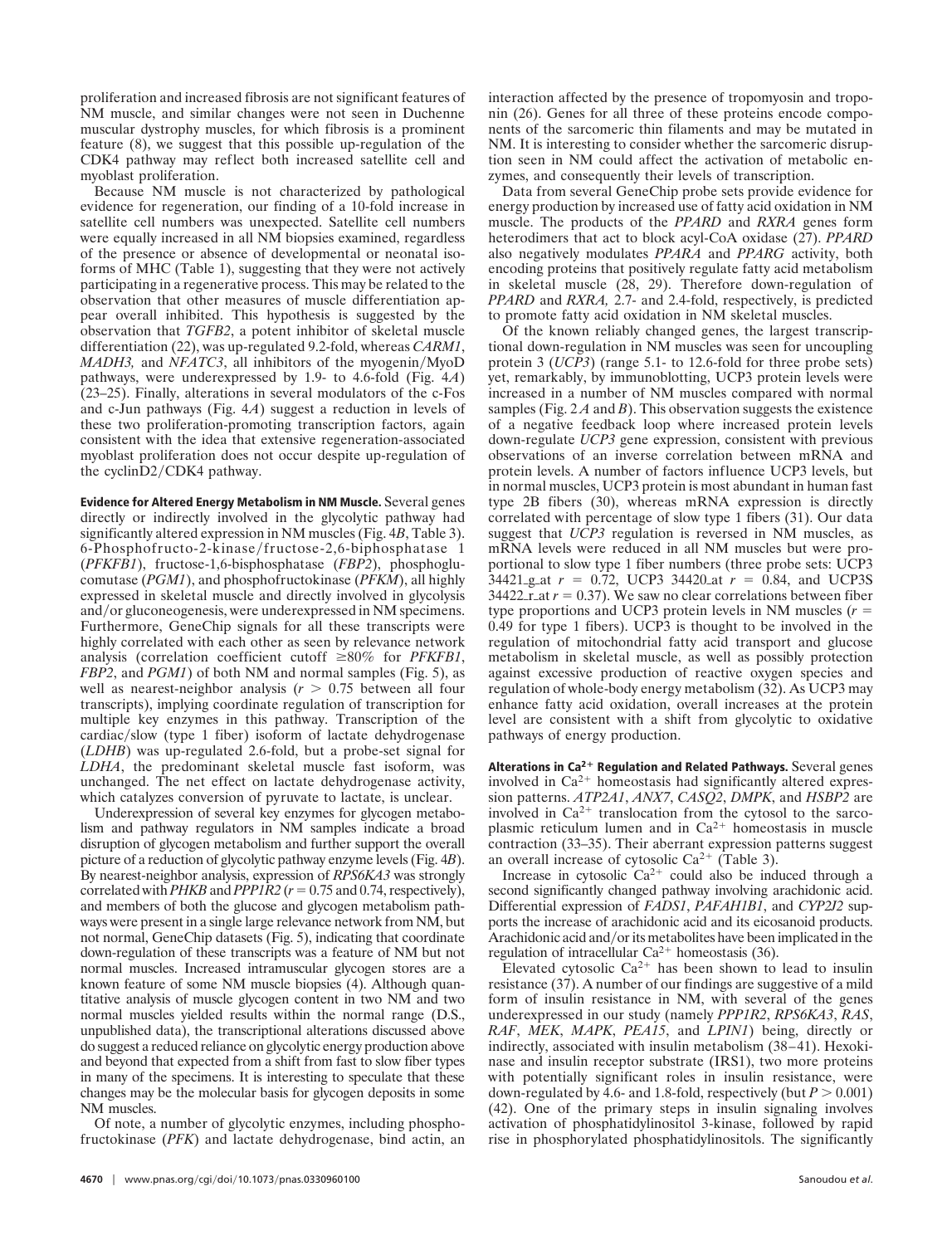proliferation and increased fibrosis are not significant features of NM muscle, and similar changes were not seen in Duchenne muscular dystrophy muscles, for which fibrosis is a prominent feature (8), we suggest that this possible up-regulation of the CDK4 pathway may reflect both increased satellite cell and myoblast proliferation.

Because NM muscle is not characterized by pathological evidence for regeneration, our finding of a 10-fold increase in satellite cell numbers was unexpected. Satellite cell numbers were equally increased in all NM biopsies examined, regardless of the presence or absence of developmental or neonatal isoforms of MHC (Table 1), suggesting that they were not actively participating in a regenerative process. This may be related to the observation that other measures of muscle differentiation appear overall inhibited. This hypothesis is suggested by the observation that *TGFB2*, a potent inhibitor of skeletal muscle differentiation (22), was up-regulated 9.2-fold, whereas *CARM1*, *MADH3*, and *NFATC3*, all inhibitors of the myogenin/MyoD pathways, were underexpressed by 1.9- to 4.6-fold (Fig. 4*A*) (23–25). Finally, alterations in several modulators of the c-Fos and c-Jun pathways (Fig. 4*A*) suggest a reduction in levels of these two proliferation-promoting transcription factors, again consistent with the idea that extensive regeneration-associated myoblast proliferation does not occur despite up-regulation of the cyclinD2/CDK4 pathway.

**Evidence for Altered Energy Metabolism in NM Muscle.** Several genes directly or indirectly involved in the glycolytic pathway had significantly altered expression in NM muscles (Fig. 4*B*, Table 3). 6-Phosphofructo-2-kinase/fructose-2,6-biphosphatase 1 (*PFKFB1*), fructose-1,6-bisphosphatase (*FBP2*), phosphoglucomutase (*PGM1*), and phosphofructokinase (*PFKM*), all highly expressed in skeletal muscle and directly involved in glycolysis and/or gluconeogenesis, were underexpressed in NM specimens. Furthermore, GeneChip signals for all these transcripts were highly correlated with each other as seen by relevance network analysis (correlation coefficient cutoff  $\geq 80\%$  for *PFKFB1*, *FBP2*, and *PGM1*) of both NM and normal samples (Fig. 5), as well as nearest-neighbor analysis  $(r > 0.75)$  between all four transcripts), implying coordinate regulation of transcription for multiple key enzymes in this pathway. Transcription of the cardiac/slow (type 1 fiber) isoform of lactate dehydrogenase (*LDHB*) was up-regulated 2.6-fold, but a probe-set signal for *LDHA*, the predominant skeletal muscle fast isoform, was unchanged. The net effect on lactate dehydrogenase activity, which catalyzes conversion of pyruvate to lactate, is unclear.

Underexpression of several key enzymes for glycogen metabolism and pathway regulators in NM samples indicate a broad disruption of glycogen metabolism and further support the overall picture of a reduction of glycolytic pathway enzyme levels (Fig. 4*B*). By nearest-neighbor analysis, expression of *RPS6KA3* was strongly correlated with *PHKB* and *PPP1R2* ( $r = 0.75$  and 0.74, respectively), and members of both the glucose and glycogen metabolism pathways were present in a single large relevance network from NM, but not normal, GeneChip datasets (Fig. 5), indicating that coordinate down-regulation of these transcripts was a feature of NM but not normal muscles. Increased intramuscular glycogen stores are a known feature of some NM muscle biopsies (4). Although quantitative analysis of muscle glycogen content in two NM and two normal muscles yielded results within the normal range (D.S., unpublished data), the transcriptional alterations discussed above do suggest a reduced reliance on glycolytic energy production above and beyond that expected from a shift from fast to slow fiber types in many of the specimens. It is interesting to speculate that these changes may be the molecular basis for glycogen deposits in some NM muscles.

Of note, a number of glycolytic enzymes, including phosphofructokinase (*PFK*) and lactate dehydrogenase, bind actin, an interaction affected by the presence of tropomyosin and troponin (26). Genes for all three of these proteins encode components of the sarcomeric thin filaments and may be mutated in NM. It is interesting to consider whether the sarcomeric disruption seen in NM could affect the activation of metabolic enzymes, and consequently their levels of transcription.

Data from several GeneChip probe sets provide evidence for energy production by increased use of fatty acid oxidation in NM muscle. The products of the *PPARD* and *RXRA* genes form heterodimers that act to block acyl-CoA oxidase (27). *PPARD* also negatively modulates *PPARA* and *PPARG* activity, both encoding proteins that positively regulate fatty acid metabolism in skeletal muscle (28, 29). Therefore down-regulation of *PPARD* and *RXRA,* 2.7- and 2.4-fold, respectively, is predicted to promote fatty acid oxidation in NM skeletal muscles.

Of the known reliably changed genes, the largest transcriptional down-regulation in NM muscles was seen for uncoupling protein 3 (*UCP3*) (range 5.1- to 12.6-fold for three probe sets) yet, remarkably, by immunoblotting, UCP3 protein levels were increased in a number of NM muscles compared with normal samples (Fig. 2 *A* and *B*). This observation suggests the existence of a negative feedback loop where increased protein levels down-regulate *UCP3* gene expression, consistent with previous observations of an inverse correlation between mRNA and protein levels. A number of factors influence UCP3 levels, but in normal muscles, UCP3 protein is most abundant in human fast type 2B fibers (30), whereas mRNA expression is directly correlated with percentage of slow type 1 fibers (31). Our data suggest that *UCP3* regulation is reversed in NM muscles, as mRNA levels were reduced in all NM muscles but were proportional to slow type 1 fiber numbers (three probe sets: UCP3  $34421$ <sub>-gat</sub>  $r = 0.72$ , UCP3 34420<sub>-at</sub>  $r = 0.84$ , and UCP3S 34422 $\frac{1}{2}$ r $\frac{1}{2}$ at  $r = 0.37$ ). We saw no clear correlations between fiber type proportions and UCP3 protein levels in NM muscles (*r* 0.49 for type 1 fibers). UCP3 is thought to be involved in the regulation of mitochondrial fatty acid transport and glucose metabolism in skeletal muscle, as well as possibly protection against excessive production of reactive oxygen species and regulation of whole-body energy metabolism (32). As UCP3 may enhance fatty acid oxidation, overall increases at the protein level are consistent with a shift from glycolytic to oxidative pathways of energy production.

Alterations in Ca<sup>2+</sup> Regulation and Related Pathways. Several genes involved in  $Ca^{2+}$  homeostasis had significantly altered expression patterns. *ATP2A1*, *ANX7*, *CASQ2*, *DMPK*, and *HSBP2* are involved in  $Ca^{2+}$  translocation from the cytosol to the sarcoplasmic reticulum lumen and in  $Ca^{2+}$  homeostasis in muscle contraction (33–35). Their aberrant expression patterns suggest an overall increase of cytosolic  $Ca^{2+}$  (Table 3).

Increase in cytosolic  $Ca^{2+}$  could also be induced through a second significantly changed pathway involving arachidonic acid. Differential expression of *FADS1*, *PAFAH1B1*, and *CYP2J2* supports the increase of arachidonic acid and its eicosanoid products. Arachidonic acid and/or its metabolites have been implicated in the regulation of intracellular  $Ca^{2+}$  homeostasis (36).

Elevated cytosolic  $Ca^{2+}$  has been shown to lead to insulin resistance (37). A number of our findings are suggestive of a mild form of insulin resistance in NM, with several of the genes underexpressed in our study (namely *PPP1R2*, *RPS6KA3*, *RAS*, *RAF*, *MEK*, *MAPK*, *PEA15*, and *LPIN1*) being, directly or indirectly, associated with insulin metabolism (38–41). Hexokinase and insulin receptor substrate (IRS1), two more proteins with potentially significant roles in insulin resistance, were down-regulated by 4.6- and 1.8-fold, respectively (but  $P > 0.001$ ) (42). One of the primary steps in insulin signaling involves activation of phosphatidylinositol 3-kinase, followed by rapid rise in phosphorylated phosphatidylinositols. The significantly